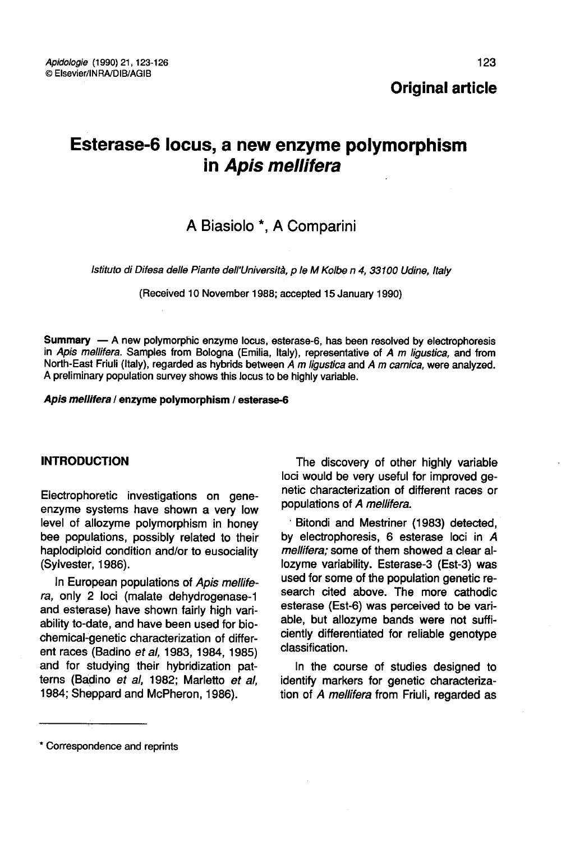# Esterase-6 locus, a new enzyme polymorphism in Apis mellifera

## A Biasiolo \*, A Comparini

Istituto di Difesa delle Piante dell'Università, p le M Kolbe n 4, 33100 Udine, Italy

(Received 10 November 1988; accepted 15 January 1990)

Summary — A new polymorphic enzyme locus, esterase-6, has been resolved by electrophoresis in Apis mellifera. Samples from Bologna (Emilia, Italy), representative of A m ligustica, and from North-East Friuli (Italy), regarded as hybrids between A m ligustica and A m carnica, were analyzed. A preliminary population survey shows this locus to be highly variable.

#### Apis mellifera / enzyme polymorphism / esterase-6

#### INTRODUCTION

Electrophoretic investigations on geneenzyme systems have shown a very low level of allozyme polymorphism in honey bee populations, possibly related to their haplodiploid condition and/or to eusociality (Sylvester, 1986).

In European populations of Apis mellifera, only 2 loci (malate dehydrogenase-1 and esterase) have shown fairly high variability to-date, and have been used for biochemical-genetic characterization of different races (Badino et al, 1983, 1984, 1985) and for studying their hybridization patterns (Badino et al, 1982; Marletto et al, 1984; Sheppard and McPheron, 1986).

The discovery of other highly variable loci would be very useful for improved genetic characterization of different races or populations of A mellifera.

Bitondi and Mestriner (1983) detected, by electrophoresis, 6 esterase loci in A mellifera; some of them showed a clear allozyme variability. Esterase-3 (Est-3) was used for some of the population genetic research cited above. The more cathodic esterase (Est-6) was perceived to be variable, but allozyme bands were not sufficiently differentiated for reliable genotype classification.

In the course of studies designed to identify markers for genetic characterization of A mellifera from Friuli, regarded as

<sup>\*</sup> Correspondence and reprints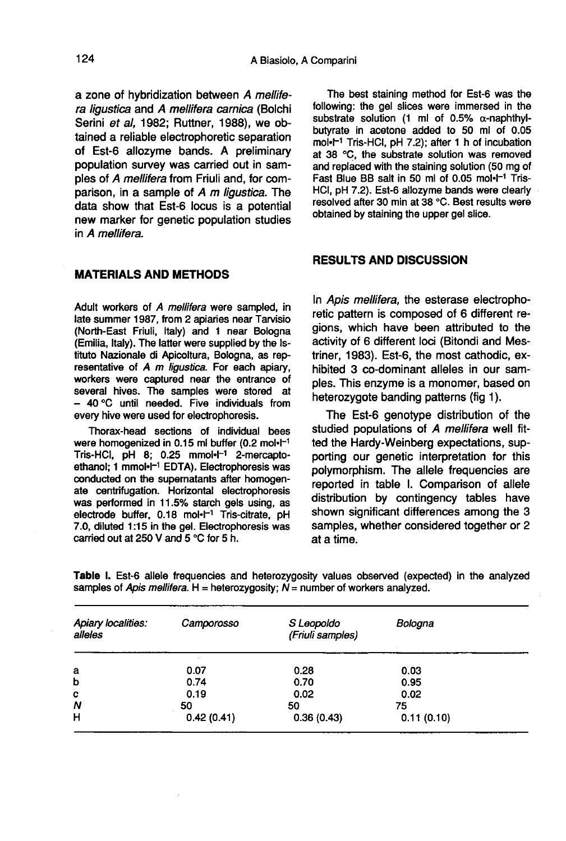a zone of hybridization between A mellifera ligustica and A mellifera carnica (Bolchi Serini et al, 1982; Ruttner, 1988), we obtained a reliable electrophoretic separation of Est-6 allozyme bands. A preliminary population survey was carried out in samples of A mellifera from Friuli and, for comparison, in a sample of A m ligustica. The data show that Est-6 locus is a potential new marker for genetic population studies in A mellifera.

#### MATERIALS AND METHODS

Adult workers of A mellifera were sampled, in late summer 1987, from 2 apiaries near Tarvisio (North-East Friuli, Italy) and 1 near Bologna (Emilia, Italy). The latter were supplied by the Istituto Nazionale di Apicoltura, Bologna, as representative of A m ligustica. For each apiary, workers were captured near the entrance of several hives. The samples were stored at - 40 °C until needed. Five individuals from every hive were used for electrophoresis.

Thorax-head sections of individual bees were homogenized in 0.15 ml buffer  $(0.2 \text{ mol} \cdot \text{L}^{-1})$ every hive were used for electrophoresis.<br>Thorax-head sections of individual bees<br>were homogenized in 0.15 ml buffer (0.2 mol·l<sup>-1</sup><br>Tris-HCl, pH 8; 0.25 mmol·l<sup>-1</sup> 2-mercapto-<br>ethanol; 1 mmol·l<sup>-1</sup> EDTA). Electrophoresis w conducted on the supernatants after homogenate centrifugation. Horizontal electrophoresis was performed in 11.5% starch gels using, as electrode buffer,  $0.18$  mol $-I$ <sup>-1</sup> Tris-citrate. pH 7.0, diluted 1:15 in the gel. Electrophoresis was carried out at 250 V and 5 °C for 5 h.

The best staining method for Est-6 was the following: the gel slices were immersed in the substrate solution (1 ml of 0.5% α-naphthylbutyrate in acetone added to 50 ml of 0.05 mol $\cdot$ l<sup>-1</sup> Tris-HCl, pH 7.2); after 1 h of incubation at 38 °C, the substrate solution was removed and replaced with the staining solution (50 mg of Fast Blue BB salt in 50 ml of 0.05 mol $-I$  Tris-HCl, pH 7.2). Est-6 allozyme bands were clearly resolved after 30 min at 38 °C. Best results were obtained by staining the upper gel slice.

#### RESULTS AND DISCUSSION

In Apis mellifera, the esterase electrophoretic pattern is composed of 6 different regions, which have been attributed to the activity of 6 different loci (Bitondi and Mestriner, 1983). Est-6, the most cathodic, exhibited 3 co-dominant alleles in our samples. This enzyme is a monomer, based on heterozygote banding patterns (fig 1).

The Est-6 genotype distribution of the studied populations of A mellifera well fitted the Hardy-Weinberg expectations, supporting our genetic interpretation for this polymorphism. The allele frequencies are reported in table I. Comparison of allele distribution by contingency tables have shown significant differences among the 3 samples, whether considered together or 2 at a time.

Table I. Est-6 allele frequencies and heterozygosity values observed (expected) in the analyzed samples of Apis mellifera. H = heterozygosity;  $N =$  number of workers analyzed.

| Apiary localities:<br>alleles | Camporosso | S Leopoldo<br>(Friuli samples) | Bologna    |  |
|-------------------------------|------------|--------------------------------|------------|--|
| a                             | 0.07       | 0.28                           | 0.03       |  |
| b                             | 0.74       | 0.70                           | 0.95       |  |
| c                             | 0.19       | 0.02                           | 0.02       |  |
| Ν                             | 50         | 50                             | 75         |  |
| н                             | 0.42(0.41) | 0.36(0.43)                     | 0.11(0.10) |  |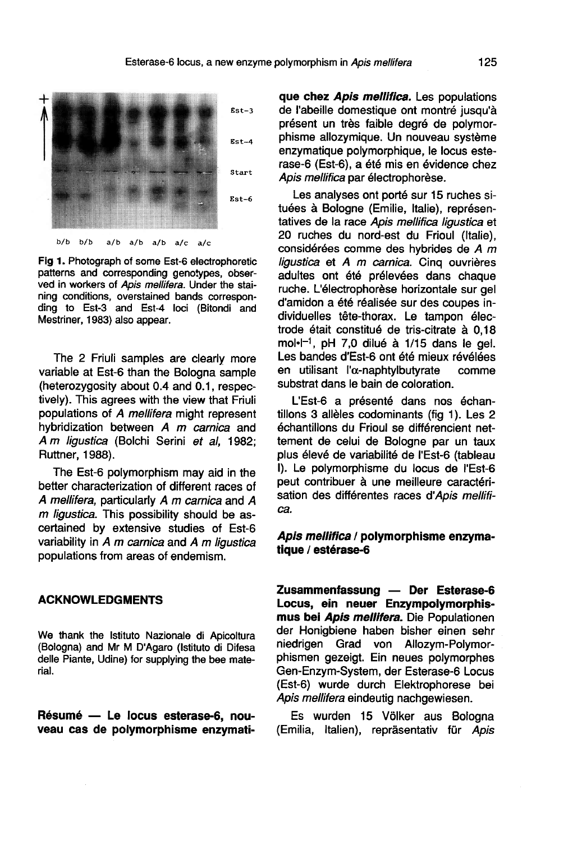

Fig 1. Photograph of some Est-6 electrophoretic patterns and corresponding genotypes, observed in workers of Apis mellifera. Under the staining conditions, overstained bands corresponding to Est-3 and Est-4 loci (Bitondi and Mestriner, 1983) also appear.

The 2 Friuli samples are clearly more variable at Est-6 than the Bologna sample (heterozygosity about 0.4 and 0.1, respectively). This agrees with the view that Friuli populations of A mellifera might represent hybridization between A m carnica and A m ligustica (Bolchi Serini et al, 1982; Ruttner, 1988).

The Est-6 polymorphism may aid in the better characterization of different races of A mellifera, particularly A m carnica and A m ligustica. This possibility should be ascertained by extensive studies of Est-6 variability in  $A$  m carnica and  $A$  m ligustica populations from areas of endemism.

### ACKNOWLEDGMENTS

We thank the Istituto Nazionale di Apicoltura (Bologna) and Mr M D'Agaro (Istituto di Difesa delle Piante, Udine) for supplying the bee material.

Résumé — Le locus esterase-6, nouveau cas de polymorphisme enzymatique chez Apis mellifica. Les populations de l'abeille domestique ont montré jusqu'à présent un très faible degré de polymorphisme allozymique. Un nouveau système enzymatique polymorphique, le locus esterase-6 (Est-6), a été mis en évidence chez Apis mellifica par électrophorèse.

Les analyses ont porté sur 15 ruches situées à Bologne (Emilie, Italie), représentatives de la race Apis mellifica ligustica et 20 ruches du nord-est du Frioul (Italie), considérées comme des hybrides de A m ligustica et A m carnica. Cing ouvrières adultes ont été prélevées dans chaque ruche. L'électrophorèse horizontale sur gel d'amidon a été réalisée sur des coupes individuelles tête-thorax. Le tampon électrode était constitué de tris-citrate à 0,18<br>mol·l<sup>-1</sup>, pH 7,0 dilué à 1/15 dans le gel. d'amidon a ete realisee sur des coupes in-<br>dividuelles tête-thorax. Le tampon élec-<br>trode était constitué de tris-citrate à 0,18<br>mol·l<sup>-1</sup>, pH 7,0 dilué à 1/15 dans le gel.<br>Les bandes d'Est-6 ont été mieux révélées en utilisant l'α-naphtylbutyrate comme substrat dans le bain de coloration.

L'Est-6 a présenté dans nos échantillons 3 allèles codominants (fig 1). Les 2 échantillons du Frioul se différencient nettement de celui de Bologne par un taux plus élevé de variabilité de l'Est-6 (tableau I). Le polymorphisme du locus de l'Est-6 peut contribuer à une meilleure caractérisation des différentes races d'Apis mellifica.

#### Apis mellifica / polymorphisme enzymatique / estérase-6

Zusammenfassung — Der Esterase-6<br>Locus, ein neuer Enzympolymorphismus bei Apis mellifera. Die Populationen der Honigbiene haben bisher einen sehr niedrigen Grad von Allozym-Polymorphismen gezeigt. Ein neues polymorphes Gen-Enzym-System, der Esterase-6 Locus (Est-6) wurde durch Elektrophorese bei Apis mellifera eindeutig nachgewiesen.

Es wurden 15 Völker aus Bologna (Emilia, Italien), repräsentativ für Apis